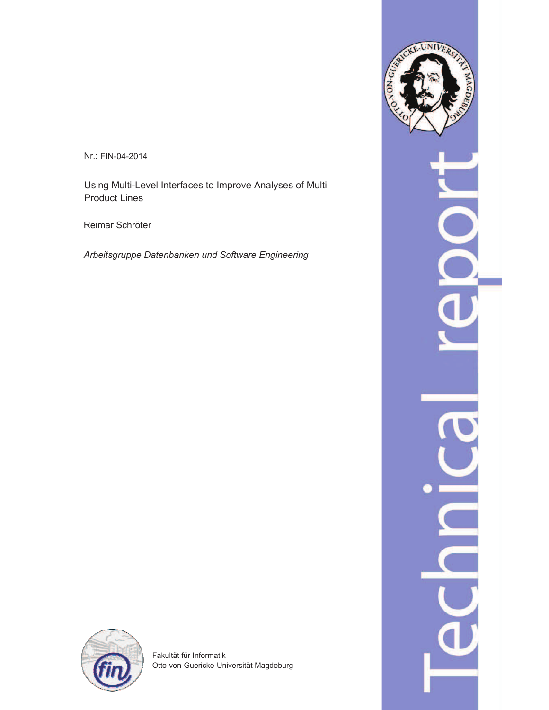Nr.: FIN-04-2014

Using Multi-Level Interfaces to Improve Analyses of Multi Product Lines

Reimar Schröter

*Arbeitsgruppe Datenbanken und Software Engineering*





Fakultät für Informatik Otto-von-Guericke-Universität Magdeburg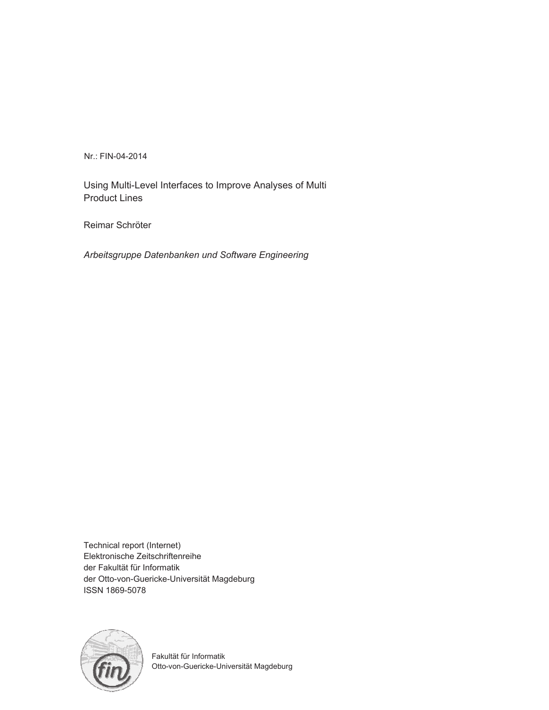Nr.: FIN-04-2014

Using Multi-Level Interfaces to Improve Analyses of Multi Product Lines

Reimar Schröter

*Arbeitsgruppe Datenbanken und Software Engineering*

Technical report (Internet) Elektronische Zeitschriftenreihe der Fakultät für Informatik der Otto-von-Guericke-Universität Magdeburg ISSN 1869-5078



Fakultät für Informatik Otto-von-Guericke-Universität Magdeburg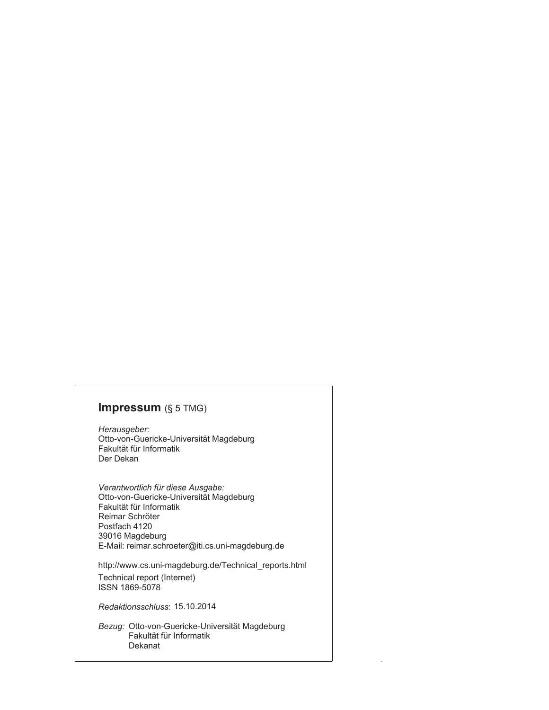# **Impressum** (§ 5 TMG)

*Herausgeber:*  Otto-von-Guericke-Universität Magdeburg Fakultät für Informatik Der Dekan

*Verantwortlich für diese Ausgabe:*  Otto-von-Guericke-Universität Magdeburg Fakultät für Informatik Postfach 4120 39016 Magdeburg E-Mail: reimar.schroeter@iti.cs.uni-magdeburg.de Reimar Schröter

http://www.cs.uni-magdeburg.de/Technical\_reports.html Technical report (Internet) ISSN 1869-5078

*Redaktionsschluss*: 15.10.2014

*Bezug:* Otto-von-Guericke-Universität Magdeburg Fakultät für Informatik Dekanat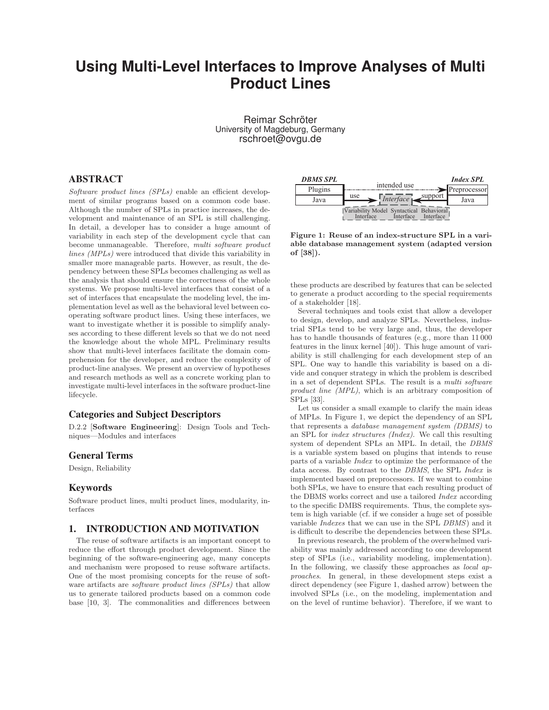# **Using Multi-Level Interfaces to Improve Analyses of Multi Product Lines**

Reimar Schröter University of Magdeburg, Germany rschroet@ovgu.de

### ABSTRACT

Software product lines (SPLs) enable an efficient development of similar programs based on a common code base. Although the number of SPLs in practice increases, the development and maintenance of an SPL is still challenging. In detail, a developer has to consider a huge amount of variability in each step of the development cycle that can become unmanageable. Therefore, multi software product lines (MPLs) were introduced that divide this variability in smaller more manageable parts. However, as result, the dependency between these SPLs becomes challenging as well as the analysis that should ensure the correctness of the whole systems. We propose multi-level interfaces that consist of a set of interfaces that encapsulate the modeling level, the implementation level as well as the behavioral level between cooperating software product lines. Using these interfaces, we want to investigate whether it is possible to simplify analyses according to these different levels so that we do not need the knowledge about the whole MPL. Preliminary results show that multi-level interfaces facilitate the domain comprehension for the developer, and reduce the complexity of product-line analyses. We present an overview of hypotheses and research methods as well as a concrete working plan to investigate multi-level interfaces in the software product-line lifecycle.

### Categories and Subject Descriptors

D.2.2 [Software Engineering]: Design Tools and Techniques—Modules and interfaces

### General Terms

Design, Reliability

### Keywords

Software product lines, multi product lines, modularity, interfaces

### 1. INTRODUCTION AND MOTIVATION

The reuse of software artifacts is an important concept to reduce the effort through product development. Since the beginning of the software-engineering age, many concepts and mechanism were proposed to reuse software artifacts. One of the most promising concepts for the reuse of software artifacts are *software product lines (SPLs)* that allow us to generate tailored products based on a common code base [10, 3]. The commonalities and differences between



Figure 1: Reuse of an index-structure SPL in a variable database management system (adapted version of [38]).

these products are described by features that can be selected to generate a product according to the special requirements of a stakeholder [18].

Several techniques and tools exist that allow a developer to design, develop, and analyze SPLs. Nevertheless, industrial SPLs tend to be very large and, thus, the developer has to handle thousands of features (e.g., more than 11 000 features in the linux kernel [40]). This huge amount of variability is still challenging for each development step of an SPL. One way to handle this variability is based on a divide and conquer strategy in which the problem is described in a set of dependent SPLs. The result is a multi software product line (MPL), which is an arbitrary composition of SPLs [33].

Let us consider a small example to clarify the main ideas of MPLs. In Figure 1, we depict the dependency of an SPL that represents a database management system (DBMS) to an SPL for index structures (Index). We call this resulting system of dependent SPLs an MPL. In detail, the DBMS is a variable system based on plugins that intends to reuse parts of a variable Index to optimize the performance of the data access. By contrast to the DBMS, the SPL Index is implemented based on preprocessors. If we want to combine both SPLs, we have to ensure that each resulting product of the DBMS works correct and use a tailored Index according to the specific DMBS requirements. Thus, the complete system is high variable (cf. if we consider a huge set of possible variable Indexes that we can use in the SPL DBMS) and it is difficult to describe the dependencies between these SPLs.

In previous research, the problem of the overwhelmed variability was mainly addressed according to one development step of SPLs (i.e., variability modeling, implementation). In the following, we classify these approaches as *local ap*proaches. In general, in these development steps exist a direct dependency (see Figure 1, dashed arrow) between the involved SPLs (i.e., on the modeling, implementation and on the level of runtime behavior). Therefore, if we want to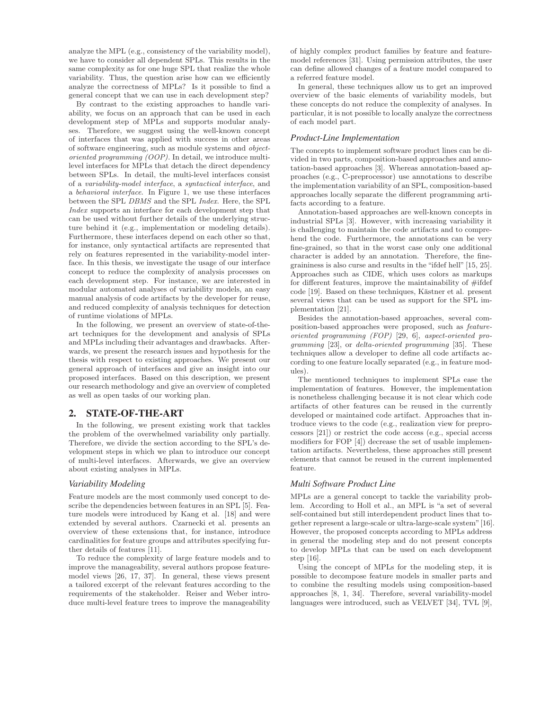analyze the MPL (e.g., consistency of the variability model), we have to consider all dependent SPLs. This results in the same complexity as for one huge SPL that realize the whole variability. Thus, the question arise how can we efficiently analyze the correctness of MPLs? Is it possible to find a general concept that we can use in each development step?

By contrast to the existing approaches to handle variability, we focus on an approach that can be used in each development step of MPLs and supports modular analyses. Therefore, we suggest using the well-known concept of interfaces that was applied with success in other areas of software engineering, such as module systems and objectoriented programming (OOP). In detail, we introduce multilevel interfaces for MPLs that detach the direct dependency between SPLs. In detail, the multi-level interfaces consist of a variability-model interface, a syntactical interface, and a behavioral interface. In Figure 1, we use these interfaces between the SPL DBMS and the SPL Index. Here, the SPL Index supports an interface for each development step that can be used without further details of the underlying structure behind it (e.g., implementation or modeling details). Furthermore, these interfaces depend on each other so that, for instance, only syntactical artifacts are represented that rely on features represented in the variability-model interface. In this thesis, we investigate the usage of our interface concept to reduce the complexity of analysis processes on each development step. For instance, we are interested in modular automated analyses of variability models, an easy manual analysis of code artifacts by the developer for reuse, and reduced complexity of analysis techniques for detection of runtime violations of MPLs.

In the following, we present an overview of state-of-theart techniques for the development and analysis of SPLs and MPLs including their advantages and drawbacks. Afterwards, we present the research issues and hypothesis for the thesis with respect to existing approaches. We present our general approach of interfaces and give an insight into our proposed interfaces. Based on this description, we present our research methodology and give an overview of completed as well as open tasks of our working plan.

### 2. STATE-OF-THE-ART

In the following, we present existing work that tackles the problem of the overwhelmed variability only partially. Therefore, we divide the section according to the SPL's development steps in which we plan to introduce our concept of multi-level interfaces. Afterwards, we give an overview about existing analyses in MPLs.

#### *Variability Modeling*

Feature models are the most commonly used concept to describe the dependencies between features in an SPL [5]. Feature models were introduced by Kang et al. [18] and were extended by several authors. Czarnecki et al. presents an overview of these extensions that, for instance, introduce cardinalities for feature groups and attributes specifying further details of features [11].

To reduce the complexity of large feature models and to improve the manageability, several authors propose featuremodel views [26, 17, 37]. In general, these views present a tailored excerpt of the relevant features according to the requirements of the stakeholder. Reiser and Weber introduce multi-level feature trees to improve the manageability

of highly complex product families by feature and featuremodel references [31]. Using permission attributes, the user can define allowed changes of a feature model compared to a referred feature model.

In general, these techniques allow us to get an improved overview of the basic elements of variability models, but these concepts do not reduce the complexity of analyses. In particular, it is not possible to locally analyze the correctness of each model part.

### *Product-Line Implementation*

The concepts to implement software product lines can be divided in two parts, composition-based approaches and annotation-based approaches [3]. Whereas annotation-based approaches (e.g., C-preprocessor) use annotations to describe the implementation variability of an SPL, composition-based approaches locally separate the different programming artifacts according to a feature.

Annotation-based approaches are well-known concepts in industrial SPLs [3]. However, with increasing variability it is challenging to maintain the code artifacts and to comprehend the code. Furthermore, the annotations can be very fine-grained, so that in the worst case only one additional character is added by an annotation. Therefore, the finegraininess is also curse and results in the "ifdef hell" [15, 25]. Approaches such as CIDE, which uses colors as markups for different features, improve the maintainability of  $\#$ ifdef code [19]. Based on these techniques, Kästner et al. present several views that can be used as support for the SPL implementation [21].

Besides the annotation-based approaches, several composition-based approaches were proposed, such as featureoriented programming (FOP) [29, 6], aspect-oriented programming [23], or delta-oriented programming [35]. These techniques allow a developer to define all code artifacts according to one feature locally separated (e.g., in feature modules).

The mentioned techniques to implement SPLs ease the implementation of features. However, the implementation is nonetheless challenging because it is not clear which code artifacts of other features can be reused in the currently developed or maintained code artifact. Approaches that introduce views to the code (e.g., realization view for preprocessors [21]) or restrict the code access (e.g., special access modifiers for FOP [4]) decrease the set of usable implementation artifacts. Nevertheless, these approaches still present elements that cannot be reused in the current implemented feature.

#### *Multi Software Product Line*

MPLs are a general concept to tackle the variability problem. According to Holl et al., an MPL is "a set of several self-contained but still interdependent product lines that together represent a large-scale or ultra-large-scale system"[16]. However, the proposed concepts according to MPLs address in general the modeling step and do not present concepts to develop MPLs that can be used on each development step [16].

Using the concept of MPLs for the modeling step, it is possible to decompose feature models in smaller parts and to combine the resulting models using composition-based approaches [8, 1, 34]. Therefore, several variability-model languages were introduced, such as VELVET [34], TVL [9],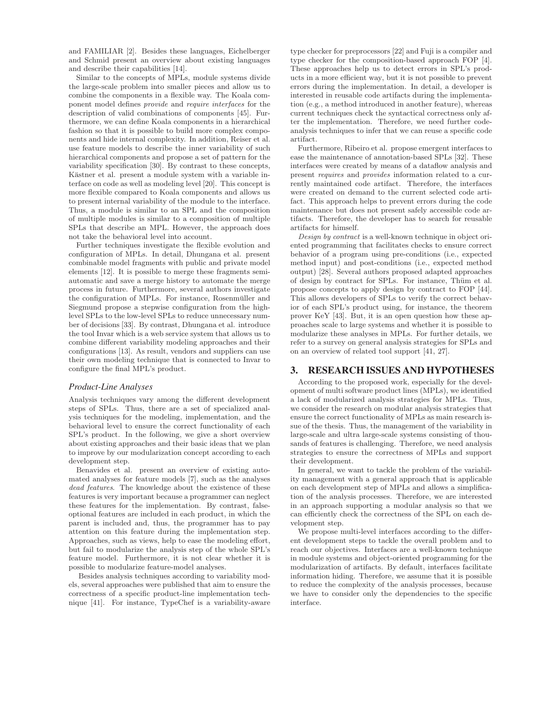and FAMILIAR [2]. Besides these languages, Eichelberger and Schmid present an overview about existing languages and describe their capabilities [14].

Similar to the concepts of MPLs, module systems divide the large-scale problem into smaller pieces and allow us to combine the components in a flexible way. The Koala component model defines provide and require interfaces for the description of valid combinations of components [45]. Furthermore, we can define Koala components in a hierarchical fashion so that it is possible to build more complex components and hide internal complexity. In addition, Reiser et al. use feature models to describe the inner variability of such hierarchical components and propose a set of pattern for the variability specification [30]. By contrast to these concepts, Kästner et al. present a module system with a variable interface on code as well as modeling level [20]. This concept is more flexible compared to Koala components and allows us to present internal variability of the module to the interface. Thus, a module is similar to an SPL and the composition of multiple modules is similar to a composition of multiple SPLs that describe an MPL. However, the approach does not take the behavioral level into account.

Further techniques investigate the flexible evolution and configuration of MPLs. In detail, Dhungana et al. present combinable model fragments with public and private model elements [12]. It is possible to merge these fragments semiautomatic and save a merge history to automate the merge process in future. Furthermore, several authors investigate the configuration of MPLs. For instance, Rosenmüller and Siegmund propose a stepwise configuration from the highlevel SPLs to the low-level SPLs to reduce unnecessary number of decisions [33]. By contrast, Dhungana et al. introduce the tool Invar which is a web service system that allows us to combine different variability modeling approaches and their configurations [13]. As result, vendors and suppliers can use their own modeling technique that is connected to Invar to configure the final MPL's product.

#### *Product-Line Analyses*

Analysis techniques vary among the different development steps of SPLs. Thus, there are a set of specialized analysis techniques for the modeling, implementation, and the behavioral level to ensure the correct functionality of each SPL's product. In the following, we give a short overview about existing approaches and their basic ideas that we plan to improve by our modularization concept according to each development step.

Benavides et al. present an overview of existing automated analyses for feature models [7], such as the analyses dead features. The knowledge about the existence of these features is very important because a programmer can neglect these features for the implementation. By contrast, falseoptional features are included in each product, in which the parent is included and, thus, the programmer has to pay attention on this feature during the implementation step. Approaches, such as views, help to ease the modeling effort, but fail to modularize the analysis step of the whole SPL's feature model. Furthermore, it is not clear whether it is possible to modularize feature-model analyses.

Besides analysis techniques according to variability models, several approaches were published that aim to ensure the correctness of a specific product-line implementation technique [41]. For instance, TypeChef is a variability-aware type checker for preprocessors [22] and Fuji is a compiler and type checker for the composition-based approach FOP [4]. These approaches help us to detect errors in SPL's products in a more efficient way, but it is not possible to prevent errors during the implementation. In detail, a developer is interested in reusable code artifacts during the implementation (e.g., a method introduced in another feature), whereas current techniques check the syntactical correctness only after the implementation. Therefore, we need further codeanalysis techniques to infer that we can reuse a specific code artifact.

Furthermore, Ribeiro et al. propose emergent interfaces to ease the maintenance of annotation-based SPLs [32]. These interfaces were created by means of a dataflow analysis and present requires and provides information related to a currently maintained code artifact. Therefore, the interfaces were created on demand to the current selected code artifact. This approach helps to prevent errors during the code maintenance but does not present safely accessible code artifacts. Therefore, the developer has to search for reusable artifacts for himself.

Design by contract is a well-known technique in object oriented programming that facilitates checks to ensure correct behavior of a program using pre-conditions (i.e., expected method input) and post-conditions (i.e., expected method output) [28]. Several authors proposed adapted approaches of design by contract for SPLs. For instance, Thum et al. propose concepts to apply design by contract to FOP [44]. This allows developers of SPLs to verify the correct behavior of each SPL's product using, for instance, the theorem prover KeY [43]. But, it is an open question how these approaches scale to large systems and whether it is possible to modularize these analyses in MPLs. For further details, we refer to a survey on general analysis strategies for SPLs and on an overview of related tool support [41, 27].

### 3. RESEARCH ISSUES AND HYPOTHESES

According to the proposed work, especially for the development of multi software product lines (MPLs), we identified a lack of modularized analysis strategies for MPLs. Thus, we consider the research on modular analysis strategies that ensure the correct functionality of MPLs as main research issue of the thesis. Thus, the management of the variability in large-scale and ultra large-scale systems consisting of thousands of features is challenging. Therefore, we need analysis strategies to ensure the correctness of MPLs and support their development.

In general, we want to tackle the problem of the variability management with a general approach that is applicable on each development step of MPLs and allows a simplification of the analysis processes. Therefore, we are interested in an approach supporting a modular analysis so that we can efficiently check the correctness of the SPL on each development step.

We propose multi-level interfaces according to the different development steps to tackle the overall problem and to reach our objectives. Interfaces are a well-known technique in module systems and object-oriented programming for the modularization of artifacts. By default, interfaces facilitate information hiding. Therefore, we assume that it is possible to reduce the complexity of the analysis processes, because we have to consider only the dependencies to the specific interface.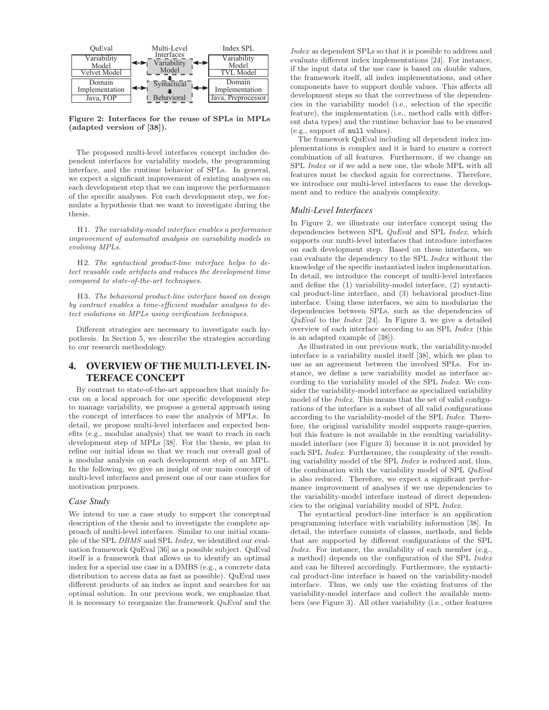

Figure 2: Interfaces for the reuse of SPLs in MPLs (adapted version of [38]).

The proposed multi-level interfaces concept includes dependent interfaces for variability models, the programming interface, and the runtime behavior of SPLs. In general, we expect a significant improvement of existing analyses on each development step that we can improve the performance of the specific analyses. For each development step, we formulate a hypothesis that we want to investigate during the thesis.

H1. The variability-model interface enables a performance improvement of automated analysis on variability models in evolving MPLs.

H2. The syntactical product-line interface helps to detect reusable code artifacts and reduces the development time compared to state-of-the-art techniques.

H3. The behavioral product-line interface based on design by contract enables a time-efficient modular analysis to detect violations in MPLs using verification techniques.

Different strategies are necessary to investigate each hypothesis. In Section 5, we describe the strategies according to our research methodology.

## 4. OVERVIEW OF THE MULTI-LEVEL IN-TERFACE CONCEPT

By contrast to state-of-the-art approaches that mainly focus on a local approach for one specific development step to manage variability, we propose a general approach using the concept of interfaces to ease the analysis of MPLs. In detail, we propose multi-level interfaces and expected benefits (e.g., modular analysis) that we want to reach in each development step of MPLs [38]. For the thesis, we plan to refine our initial ideas so that we reach our overall goal of a modular analysis on each development step of an MPL. In the following, we give an insight of our main concept of multi-level interfaces and present one of our case studies for motivation purposes.

### *Case Study*

We intend to use a case study to support the conceptual description of the thesis and to investigate the complete approach of multi-level interfaces. Similar to our initial example of the SPL DBMS and SPL Index, we identified our evaluation framework QuEval [36] as a possible subject. QuEval itself is a framework that allows us to identify an optimal index for a special use case in a DMBS (e.g., a concrete data distribution to access data as fast as possible). QuEval uses different products of an index as input and searches for an optimal solution. In our previous work, we emphasize that it is necessary to reorganize the framework QuEval and the Index as dependent SPLs so that it is possible to address and evaluate different index implementations [24]. For instance, if the input data of the use case is based on double values, the framework itself, all index implementations, and other components have to support double values. This affects all development steps so that the correctness of the dependencies in the variability model (i.e., selection of the specific feature), the implementation (i.e., method calls with different data types) and the runtime behavior has to be ensured (e.g., support of null values).

The framework QuEval including all dependent index implementations is complex and it is hard to ensure a correct combination of all features. Furthermore, if we change an SPL Index or if we add a new one, the whole MPL with all features must be checked again for correctness. Therefore, we introduce our multi-level interfaces to ease the development and to reduce the analysis complexity.

#### *Multi-Level Interfaces*

In Figure 2, we illustrate our interface concept using the dependencies between SPL QuEval and SPL Index, which supports our multi-level interfaces that introduce interfaces on each development step. Based on these interfaces, we can evaluate the dependency to the SPL Index without the knowledge of the specific instantiated index implementation. In detail, we introduce the concept of multi-level interfaces and define the (1) variability-model interface, (2) syntactical product-line interface, and (3) behavioral product-line interface. Using these interfaces, we aim to modularize the dependencies between SPLs, such as the dependencies of  $QuEval$  to the *Index* [24]. In Figure 3, we give a detailed overview of each interface according to an SPL Index (this is an adapted example of [38]).

As illustrated in our previous work, the variability-model interface is a variability model itself [38], which we plan to use as an agreement between the involved SPLs. For instance, we define a new variability model as interface according to the variability model of the SPL Index. We consider the variability-model interface as specialized variability model of the Index. This means that the set of valid configurations of the interface is a subset of all valid configurations according to the variability-model of the SPL Index. Therefore, the original variability model supports range-queries, but this feature is not available in the resulting variabilitymodel interface (see Figure 3) because it is not provided by each SPL Index. Furthermore, the complexity of the resulting variability model of the SPL Index is reduced and, thus, the combination with the variability model of SPL QuEval is also reduced. Therefore, we expect a significant performance improvement of analyses if we use dependencies to the variability-model interface instead of direct dependencies to the original variability model of SPL Index.

The syntactical product-line interface is an application programming interface with variability information [38]. In detail, the interface consists of classes, methods, and fields that are supported by different configurations of the SPL Index. For instance, the availability of each member (e.g., a method) depends on the configuration of the SPL Index and can be filtered accordingly. Furthermore, the syntactical product-line interface is based on the variability-model interface. Thus, we only use the existing features of the variability-model interface and collect the available members (see Figure 3). All other variability (i.e., other features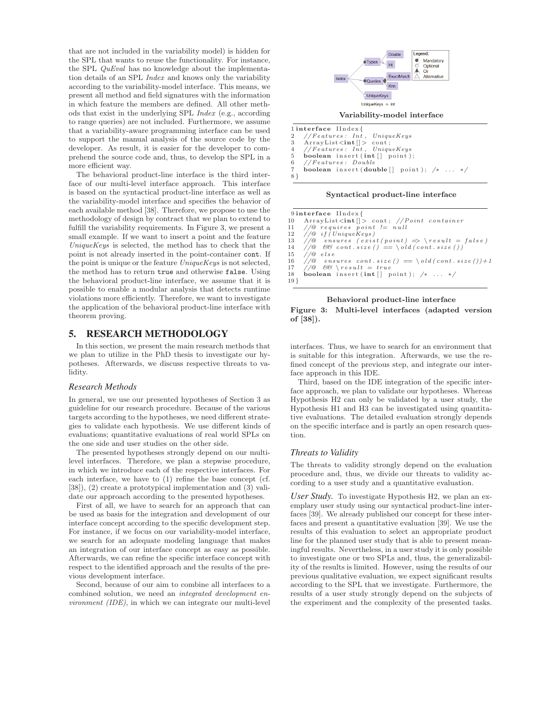that are not included in the variability model) is hidden for the SPL that wants to reuse the functionality. For instance, the SPL QuEval has no knowledge about the implementation details of an SPL Index and knows only the variability according to the variability-model interface. This means, we present all method and field signatures with the information in which feature the members are defined. All other methods that exist in the underlying SPL Index (e.g., according to range queries) are not included. Furthermore, we assume that a variability-aware programming interface can be used to support the manual analysis of the source code by the developer. As result, it is easier for the developer to comprehend the source code and, thus, to develop the SPL in a more efficient way.

The behavioral product-line interface is the third interface of our multi-level interface approach. This interface is based on the syntactical product-line interface as well as the variability-model interface and specifies the behavior of each available method [38]. Therefore, we propose to use the methodology of design by contract that we plan to extend to fulfill the variability requirements. In Figure 3, we present a small example. If we want to insert a point and the feature UniqueKeys is selected, the method has to check that the point is not already inserted in the point-container cont. If the point is unique or the feature UniqueKeys is not selected, the method has to return true and otherwise false. Using the behavioral product-line interface, we assume that it is possible to enable a modular analysis that detects runtime violations more efficiently. Therefore, we want to investigate the application of the behavioral product-line interface with theorem proving.

### 5. RESEARCH METHODOLOGY

In this section, we present the main research methods that we plan to utilize in the PhD thesis to investigate our hypotheses. Afterwards, we discuss respective threats to validity.

#### *Research Methods*

In general, we use our presented hypotheses of Section 3 as guideline for our research procedure. Because of the various targets according to the hypotheses, we need different strategies to validate each hypothesis. We use different kinds of evaluations; quantitative evaluations of real world SPLs on the one side and user studies on the other side.

The presented hypotheses strongly depend on our multilevel interfaces. Therefore, we plan a stepwise procedure, in which we introduce each of the respective interfaces. For each interface, we have to (1) refine the base concept (cf. [38]), (2) create a prototypical implementation and (3) validate our approach according to the presented hypotheses.

First of all, we have to search for an approach that can be used as basis for the integration and development of our interface concept according to the specific development step. For instance, if we focus on our variability-model interface, we search for an adequate modeling language that makes an integration of our interface concept as easy as possible. Afterwards, we can refine the specific interface concept with respect to the identified approach and the results of the previous development interface.

Second, because of our aim to combine all interfaces to a combined solution, we need an integrated development environment (IDE), in which we can integrate our multi-level



 $\frac{1}{2}$  interface IIndex { 2 // $Features: In<sup>t</sup>$ , UniqueKeys<br>3 ArrayList<int ||> cont;  $\overrightarrow{A}$  rray List  $\langle \text{int} | \rangle$  cont; 4 *// F ea tu r es : In t , UniqueKeys* 5 boolean insert  $(int []$  point);<br>6 //Features: Double 6 *// F ea tu r es : Doub le* 7 boolean i n s e r t ( double [ ] p o i n t ) ; */*∗ *. . .* ∗*/* 8 }

Syntactical product-line interface

|        | 9interface IIndex{                                                        |
|--------|---------------------------------------------------------------------------|
|        | 10 ArrayList $\langle \text{int}   \rangle$ cont; //Point container       |
|        | 11 //@ requires point $!= null$                                           |
|        | $12$ //@ if (UniqueKeys)                                                  |
|        | 13 //@ ensures $(exist(point) \Rightarrow \operatorname{result} = false)$ |
|        | 14 //@ $\&\&\; cont.size() == \cdot old (cont.size())$                    |
|        | $15$ //@ else                                                             |
|        | 16 //@ ensures cont.size() == \old(cont.size())+1                         |
|        | 17 //@ $66 \ \text{result} = true$                                        |
|        | 18 boolean insert (int [] point); $\frac{1}{x}$ $\frac{x}{x}$             |
| $19$ } |                                                                           |
|        |                                                                           |

Behavioral product-line interface



interfaces. Thus, we have to search for an environment that is suitable for this integration. Afterwards, we use the refined concept of the previous step, and integrate our interface approach in this IDE.

Third, based on the IDE integration of the specific interface approach, we plan to validate our hypotheses. Whereas Hypothesis H2 can only be validated by a user study, the Hypothesis H1 and H3 can be investigated using quantitative evaluations. The detailed evaluation strongly depends on the specific interface and is partly an open research question.

### *Threats to Validity*

The threats to validity strongly depend on the evaluation procedure and, thus, we divide our threats to validity according to a user study and a quantitative evaluation.

*User Study.* To investigate Hypothesis H2, we plan an exemplary user study using our syntactical product-line interfaces [39]. We already published our concept for these interfaces and present a quantitative evaluation [39]. We use the results of this evaluation to select an appropriate product line for the planned user study that is able to present meaningful results. Nevertheless, in a user study it is only possible to investigate one or two SPLs and, thus, the generalizability of the results is limited. However, using the results of our previous qualitative evaluation, we expect significant results according to the SPL that we investigate. Furthermore, the results of a user study strongly depend on the subjects of the experiment and the complexity of the presented tasks.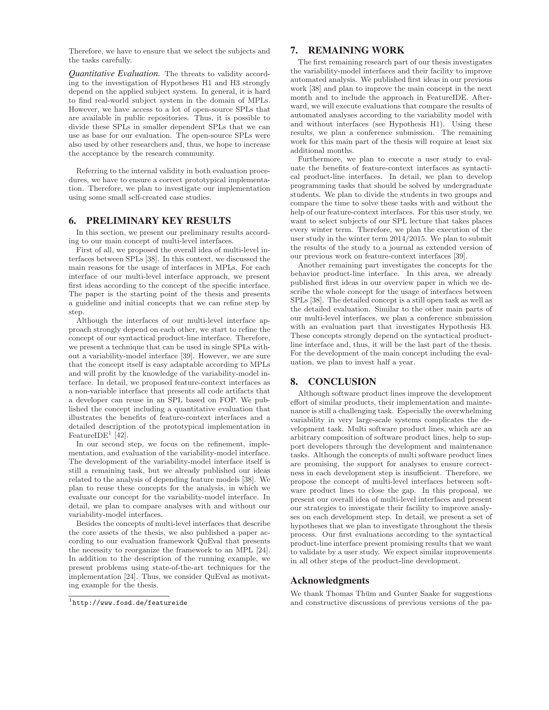Therefore, we have to ensure that we select the subjects and the tasks carefully.

*Quantitative Evaluation.* The threats to validity according to the investigation of Hypotheses H1 and H3 strongly depend on the applied subject system. In general, it is hard to find real-world subject system in the domain of MPLs. However, we have access to a lot of open-source SPLs that are available in public repositories. Thus, it is possible to divide these SPLs in smaller dependent SPLs that we can use as base for our evaluation. The open-source SPLs were also used by other researchers and, thus, we hope to increase the acceptance by the research community.

Referring to the internal validity in both evaluation procedures, we have to ensure a correct prototypical implementation. Therefore, we plan to investigate our implementation using some small self-created case studies.

### 6. PRELIMINARY KEY RESULTS

In this section, we present our preliminary results according to our main concept of multi-level interfaces.

First of all, we proposed the overall idea of multi-level interfaces between SPLs [38]. In this context, we discussed the main reasons for the usage of interfaces in MPLs. For each interface of our multi-level interface approach, we present first ideas according to the concept of the specific interface. The paper is the starting point of the thesis and presents a guideline and initial concepts that we can refine step by step.

Although the interfaces of our multi-level interface approach strongly depend on each other, we start to refine the concept of our syntactical product-line interface. Therefore, we present a technique that can be used in single SPLs without a variability-model interface [39]. However, we are sure that the concept itself is easy adaptable according to MPLs and will profit by the knowledge of the variability-model interface. In detail, we proposed feature-context interfaces as a non-variable interface that presents all code artifacts that a developer can reuse in an SPL based on FOP. We published the concept including a quantitative evaluation that illustrates the benefits of feature-context interfaces and a detailed description of the prototypical implementation in FeatureIDE<sup>1</sup> [42].

In our second step, we focus on the refinement, implementation, and evaluation of the variability-model interface. The development of the variability-model interface itself is still a remaining task, but we already published our ideas related to the analysis of depending feature models [38]. We plan to reuse these concepts for the analysis, in which we evaluate our concept for the variability-model interface. In detail, we plan to compare analyses with and without our variability-model interfaces.

Besides the concepts of multi-level interfaces that describe the core assets of the thesis, we also published a paper according to our evaluation framework QuEval that presents the necessity to reorganize the framework to an MPL [24]. In addition to the description of the running example, we present problems using state-of-the-art techniques for the implementation [24]. Thus, we consider QuEval as motivating example for the thesis.

### 1 http://www.fosd.de/featureide

### 7. REMAINING WORK

The first remaining research part of our thesis investigates the variability-model interfaces and their facility to improve automated analysis. We published first ideas in our previous work [38] and plan to improve the main concept in the next month and to include the approach in FeatureIDE. Afterward, we will execute evaluations that compare the results of automated analyses according to the variability model with and without interfaces (see Hypothesis H1). Using these results, we plan a conference submission. The remaining work for this main part of the thesis will require at least six additional months.

Furthermore, we plan to execute a user study to evaluate the benefits of feature-context interfaces as syntactical product-line interfaces. In detail, we plan to develop programming tasks that should be solved by undergraduate students. We plan to divide the students in two groups and compare the time to solve these tasks with and without the help of our feature-context interfaces. For this user study, we want to select subjects of our SPL lecture that takes places every winter term. Therefore, we plan the execution of the user study in the winter term 2014/2015. We plan to submit the results of the study to a journal as extended version of our previous work on feature-context interfaces [39].

Another remaining part investigates the concepts for the behavior product-line interface. In this area, we already published first ideas in our overview paper in which we describe the whole concept for the usage of interfaces between SPLs [38]. The detailed concept is a still open task as well as the detailed evaluation. Similar to the other main parts of our multi-level interfaces, we plan a conference submission with an evaluation part that investigates Hypothesis H3. These concepts strongly depend on the syntactical productline interface and, thus, it will be the last part of the thesis. For the development of the main concept including the evaluation, we plan to invest half a year.

### 8. CONCLUSION

Although software product lines improve the development effort of similar products, their implementation and maintenance is still a challenging task. Especially the overwhelming variability in very large-scale systems complicates the development task. Multi software product lines, which are an arbitrary composition of software product lines, help to support developers through the development and maintenance tasks. Although the concepts of multi software product lines are promising, the support for analyses to ensure correctness in each development step is insufficient. Therefore, we propose the concept of multi-level interfaces between software product lines to close the gap. In this proposal, we present our overall idea of multi-level interfaces and present our strategies to investigate their facility to improve analyses on each development step. In detail, we present a set of hypotheses that we plan to investigate throughout the thesis process. Our first evaluations according to the syntactical product-line interface present promising results that we want to validate by a user study. We expect similar improvements in all other steps of the product-line development.

### Acknowledgments

We thank Thomas Thüm and Gunter Saake for suggestions and constructive discussions of previous versions of the pa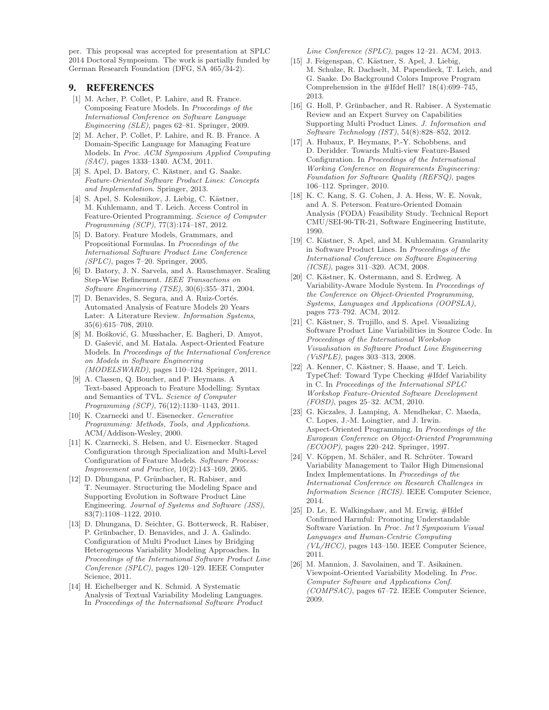per. This proposal was accepted for presentation at SPLC 2014 Doctoral Symposium. The work is partially funded by German Research Foundation (DFG, SA 465/34-2).

### 9. REFERENCES

- [1] M. Acher, P. Collet, P. Lahire, and R. France. Composing Feature Models. In Proceedings of the International Conference on Software Language Engineering (SLE), pages 62–81. Springer, 2009.
- [2] M. Acher, P. Collet, P. Lahire, and R. B. France. A Domain-Specific Language for Managing Feature Models. In Proc. ACM Symposium Applied Computing (SAC), pages 1333–1340. ACM, 2011.
- [3] S. Apel, D. Batory, C. Kästner, and G. Saake. Feature-Oriented Software Product Lines: Concepts and Implementation. Springer, 2013.
- [4] S. Apel, S. Kolesnikov, J. Liebig, C. Kästner, M. Kuhlemann, and T. Leich. Access Control in Feature-Oriented Programming. Science of Computer Programming (SCP), 77(3):174–187, 2012.
- [5] D. Batory. Feature Models, Grammars, and Propositional Formulas. In Proceedings of the International Software Product Line Conference (SPLC), pages 7–20. Springer, 2005.
- [6] D. Batory, J. N. Sarvela, and A. Rauschmayer. Scaling Step-Wise Refinement. IEEE Transactions on Software Engineering (TSE), 30(6):355–371, 2004.
- [7] D. Benavides, S. Segura, and A. Ruiz-Cortés. Automated Analysis of Feature Models 20 Years Later: A Literature Review. Information Systems, 35(6):615–708, 2010.
- [8] M. Bošković, G. Mussbacher, E. Bagheri, D. Amyot, D. Gašević, and M. Hatala. Aspect-Oriented Feature Models. In Proceedings of the International Conference on Models in Software Engineering (MODELSWARD), pages 110–124. Springer, 2011.
- [9] A. Classen, Q. Boucher, and P. Heymans. A Text-based Approach to Feature Modelling: Syntax and Semantics of TVL. Science of Computer Programming (SCP), 76(12):1130–1143, 2011.
- [10] K. Czarnecki and U. Eisenecker. Generative Programming: Methods, Tools, and Applications. ACM/Addison-Wesley, 2000.
- [11] K. Czarnecki, S. Helsen, and U. Eisenecker. Staged Configuration through Specialization and Multi-Level Configuration of Feature Models. Software Process: Improvement and Practice, 10(2):143–169, 2005.
- [12] D. Dhungana, P. Grünbacher, R. Rabiser, and T. Neumayer. Structuring the Modeling Space and Supporting Evolution in Software Product Line Engineering. Journal of Systems and Software (JSS), 83(7):1108–1122, 2010.
- [13] D. Dhungana, D. Seichter, G. Botterweck, R. Rabiser, P. Grünbacher, D. Benavides, and J. A. Galindo. Configuration of Multi Product Lines by Bridging Heterogeneous Variability Modeling Approaches. In Proceedings of the International Software Product Line Conference (SPLC), pages 120–129. IEEE Computer Science, 2011.
- [14] H. Eichelberger and K. Schmid. A Systematic Analysis of Textual Variability Modeling Languages. In Proceedings of the International Software Product

Line Conference (SPLC), pages 12–21. ACM, 2013.

- [15] J. Feigenspan, C. Kästner, S. Apel, J. Liebig, M. Schulze, R. Dachselt, M. Papendieck, T. Leich, and G. Saake. Do Background Colors Improve Program Comprehension in the #Ifdef Hell? 18(4):699–745, 2013.
- [16] G. Holl, P. Grünbacher, and R. Rabiser. A Systematic Review and an Expert Survey on Capabilities Supporting Multi Product Lines. J. Information and Software Technology (IST), 54(8):828–852, 2012.
- [17] A. Hubaux, P. Heymans, P.-Y. Schobbens, and D. Deridder. Towards Multi-view Feature-Based Configuration. In Proceedings of the International Working Conference on Requirements Engineering: Foundation for Software Quality (REFSQ), pages 106–112. Springer, 2010.
- [18] K. C. Kang, S. G. Cohen, J. A. Hess, W. E. Novak, and A. S. Peterson. Feature-Oriented Domain Analysis (FODA) Feasibility Study. Technical Report CMU/SEI-90-TR-21, Software Engineering Institute, 1990.
- [19] C. Kästner, S. Apel, and M. Kuhlemann. Granularity in Software Product Lines. In Proceedings of the International Conference on Software Engineering (ICSE), pages 311–320. ACM, 2008.
- [20] C. Kästner, K. Ostermann, and S. Erdweg. A Variability-Aware Module System. In Proceedings of the Conference on Object-Oriented Programming, Systems, Languages and Applications (OOPSLA), pages 773–792. ACM, 2012.
- [21] C. Kästner, S. Trujillo, and S. Apel. Visualizing Software Product Line Variabilities in Source Code. In Proceedings of the International Workshop Visualisation in Software Product Line Engineering (ViSPLE), pages 303–313, 2008.
- [22] A. Kenner, C. Kästner, S. Haase, and T. Leich. TypeChef: Toward Type Checking #Ifdef Variability in C. In Proceedings of the International SPLC Workshop Feature-Oriented Software Development (FOSD), pages 25–32. ACM, 2010.
- [23] G. Kiczales, J. Lamping, A. Mendhekar, C. Maeda, C. Lopes, J.-M. Loingtier, and J. Irwin. Aspect-Oriented Programming. In Proceedings of the European Conference on Object-Oriented Programming (ECOOP), pages 220–242. Springer, 1997.
- [24] V. Köppen, M. Schäler, and R. Schröter. Toward Variability Management to Tailor High Dimensional Index Implementations. In Proceedings of the International Conference on Research Challenges in Information Science (RCIS). IEEE Computer Science, 2014.
- [25] D. Le, E. Walkingshaw, and M. Erwig. #Ifdef Confirmed Harmful: Promoting Understandable Software Variation. In Proc. Int'l Symposium Visual Languages and Human-Centric Computing  $(VL/HCC)$ , pages 143–150. IEEE Computer Science, 2011.
- [26] M. Mannion, J. Savolainen, and T. Asikainen. Viewpoint-Oriented Variability Modeling. In Proc. Computer Software and Applications Conf. (COMPSAC), pages 67–72. IEEE Computer Science, 2009.